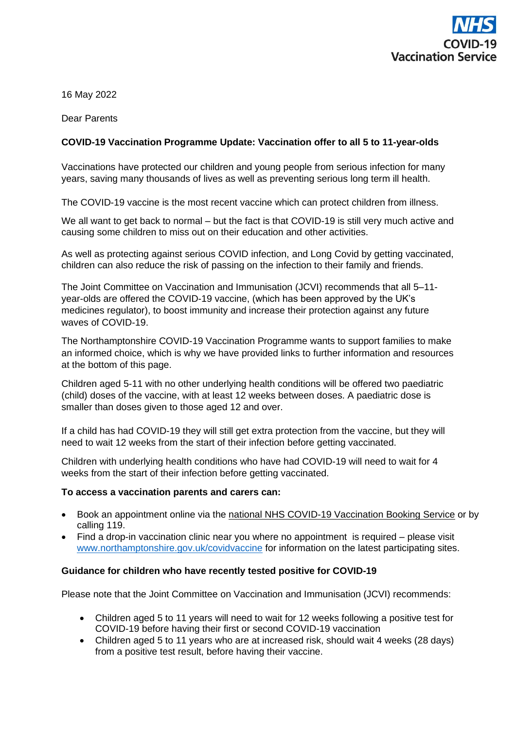

16 May 2022

Dear Parents

# **COVID-19 Vaccination Programme Update: Vaccination offer to all 5 to 11-year-olds**

Vaccinations have protected our children and young people from serious infection for many years, saving many thousands of lives as well as preventing serious long term ill health.

The COVID-19 vaccine is the most recent vaccine which can protect children from illness.

We all want to get back to normal – but the fact is that COVID-19 is still very much active and causing some children to miss out on their education and other activities.

As well as protecting against serious COVID infection, and Long Covid by getting vaccinated, children can also reduce the risk of passing on the infection to their family and friends.

The Joint Committee on Vaccination and Immunisation (JCVI) recommends that all 5–11 year-olds are offered the COVID-19 vaccine, (which has been approved by the UK's medicines regulator), to boost immunity and increase their protection against any future waves of COVID-19.

The Northamptonshire COVID-19 Vaccination Programme wants to support families to make an informed choice, which is why we have provided links to further information and resources at the bottom of this page.

Children aged 5-11 with no other underlying health conditions will be offered two paediatric (child) doses of the vaccine, with at least 12 weeks between doses. A paediatric dose is smaller than doses given to those aged 12 and over.

If a child has had COVID-19 they will still get extra protection from the vaccine, but they will need to wait 12 weeks from the start of their infection before getting vaccinated.

Children with underlying health conditions who have had COVID-19 will need to wait for 4 weeks from the start of their infection before getting vaccinated.

### **To access a vaccination parents and carers can:**

- Book an appointment online via the [national NHS COVID-19 Vaccination Booking Se](https://www.nhs.uk/conditions/coronavirus-covid-19/coronavirus-vaccination/book-coronavirus-vaccination/)rvice or by calling 119.
- Find a drop-in vaccination clinic near you where no appointment is required please visit [www.northamptonshire.gov.uk/covidvaccine](https://www.northamptonshire.gov.uk/coronavirus-updates/Pages/coronavirus-vaccination-in-northamptonshire.aspx) for information on the latest participating sites.

### **Guidance for children who have recently tested positive for COVID-19**

Please note that the Joint Committee on Vaccination and Immunisation (JCVI) recommends:

- Children aged 5 to 11 years will need to wait for 12 weeks following a positive test for COVID-19 before having their first or second COVID-19 vaccination
- Children aged 5 to 11 years who are at increased risk, should wait 4 weeks (28 days) from a positive test result, before having their vaccine.